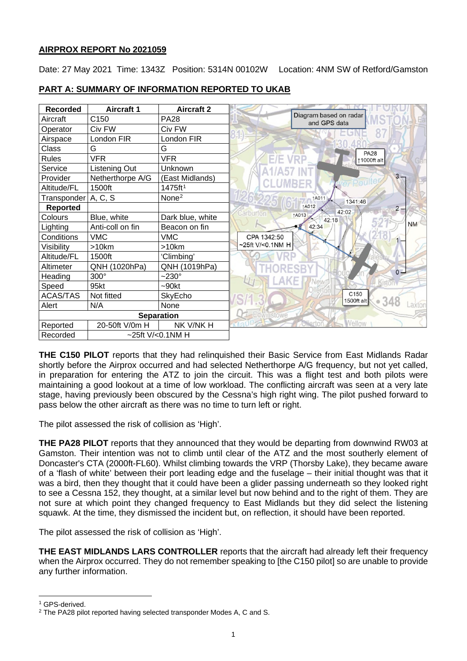# **AIRPROX REPORT No 2021059**

Date: 27 May 2021 Time: 1343Z Position: 5314N 00102W Location: 4NM SW of Retford/Gamston

| <b>Recorded</b>       | <b>Aircraft 1</b>   | <b>Aircraft 2</b>   |                                        |
|-----------------------|---------------------|---------------------|----------------------------------------|
| Aircraft              | C150                | <b>PA28</b>         | Diagram based on radar<br>and GPS data |
| Operator              | Civ FW              | Civ FW              |                                        |
| Airspace              | London FIR          | London FIR          |                                        |
| Class                 | G                   | G                   | <b>PA28</b>                            |
| <b>Rules</b>          | <b>VFR</b>          | VFR                 | E/E VRP<br>↑1000ft alt                 |
| Service               | Listening Out       | Unknown             |                                        |
| Provider              | Netherthorpe A/G    | (East Midlands)     | $3 -$<br>Poul                          |
| Altitude/FL           | 1500ft              | 1475ft <sup>1</sup> |                                        |
| Transponder   A, C, S |                     | None <sup>2</sup>   | <b>1A011</b><br>1341:46                |
| <b>Reported</b>       |                     |                     | <b>1A012</b><br>$2 -$<br>42:02         |
| Colours               | Blue, white         | Dark blue, white    | Carburton<br><b>1A013</b><br>42:18     |
| Lighting              | Anti-coll on fin    | Beacon on fin       | <b>NM</b><br>42:34                     |
| Conditions            | <b>VMC</b>          | <b>VMC</b>          | CPA 1342:50                            |
| Visibility            | >10km               | >10km               | ~25ft V/<0.1NM H                       |
| Altitude/FL           | 1500ft              | 'Climbing'          |                                        |
| Altimeter             | QNH (1020hPa)       | QNH (1019hPa)       | $0 -$                                  |
| Heading               | 300°                | $-230^\circ$        |                                        |
| Speed                 | 95kt                | $-90kt$             |                                        |
| <b>ACAS/TAS</b>       | Not fitted          | SkyEcho             | C <sub>150</sub><br>1500ft alt         |
| Alert                 | N/A                 | None                | 348<br>÷<br>axtor                      |
|                       |                     | <b>Separation</b>   | Edwinstowe                             |
| Reported              | 20-50ft V/0m H      | NK V/NK H           | <b>Nellow</b>                          |
| Recorded              | $~25$ ft V/<0.1NM H |                     |                                        |

# **PART A: SUMMARY OF INFORMATION REPORTED TO UKAB**

**THE C150 PILOT** reports that they had relinquished their Basic Service from East Midlands Radar shortly before the Airprox occurred and had selected Netherthorpe A/G frequency, but not yet called, in preparation for entering the ATZ to join the circuit. This was a flight test and both pilots were maintaining a good lookout at a time of low workload. The conflicting aircraft was seen at a very late stage, having previously been obscured by the Cessna's high right wing. The pilot pushed forward to pass below the other aircraft as there was no time to turn left or right.

The pilot assessed the risk of collision as 'High'.

**THE PA28 PILOT** reports that they announced that they would be departing from downwind RW03 at Gamston. Their intention was not to climb until clear of the ATZ and the most southerly element of Doncaster's CTA (2000ft-FL60). Whilst climbing towards the VRP (Thorsby Lake), they became aware of a 'flash of white' between their port leading edge and the fuselage – their initial thought was that it was a bird, then they thought that it could have been a glider passing underneath so they looked right to see a Cessna 152, they thought, at a similar level but now behind and to the right of them. They are not sure at which point they changed frequency to East Midlands but they did select the listening squawk. At the time, they dismissed the incident but, on reflection, it should have been reported.

The pilot assessed the risk of collision as 'High'.

**THE EAST MIDLANDS LARS CONTROLLER** reports that the aircraft had already left their frequency when the Airprox occurred. They do not remember speaking to [the C150 pilot] so are unable to provide any further information.

<span id="page-0-0"></span><sup>&</sup>lt;sup>1</sup> GPS-derived.

<span id="page-0-1"></span><sup>&</sup>lt;sup>2</sup> The PA28 pilot reported having selected transponder Modes A, C and S.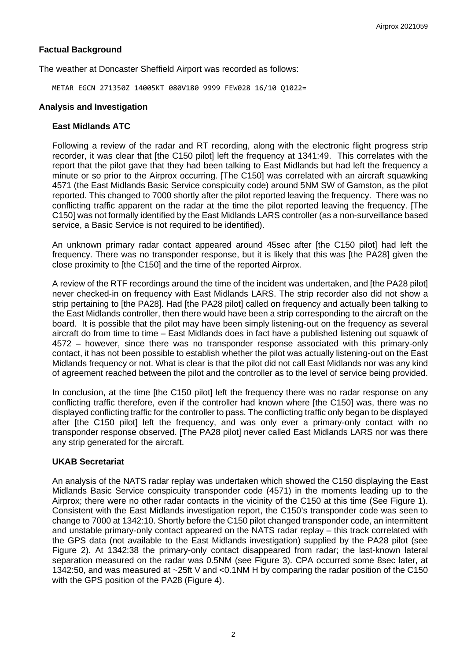# **Factual Background**

The weather at Doncaster Sheffield Airport was recorded as follows:

METAR EGCN 271350Z 14005KT 080V180 9999 FEW028 16/10 Q1022=

#### **Analysis and Investigation**

### **East Midlands ATC**

Following a review of the radar and RT recording, along with the electronic flight progress strip recorder, it was clear that [the C150 pilot] left the frequency at 1341:49. This correlates with the report that the pilot gave that they had been talking to East Midlands but had left the frequency a minute or so prior to the Airprox occurring. [The C150] was correlated with an aircraft squawking 4571 (the East Midlands Basic Service conspicuity code) around 5NM SW of Gamston, as the pilot reported. This changed to 7000 shortly after the pilot reported leaving the frequency. There was no conflicting traffic apparent on the radar at the time the pilot reported leaving the frequency. [The C150] was not formally identified by the East Midlands LARS controller (as a non-surveillance based service, a Basic Service is not required to be identified).

An unknown primary radar contact appeared around 45sec after [the C150 pilot] had left the frequency. There was no transponder response, but it is likely that this was [the PA28] given the close proximity to [the C150] and the time of the reported Airprox.

A review of the RTF recordings around the time of the incident was undertaken, and [the PA28 pilot] never checked-in on frequency with East Midlands LARS. The strip recorder also did not show a strip pertaining to [the PA28]. Had [the PA28 pilot] called on frequency and actually been talking to the East Midlands controller, then there would have been a strip corresponding to the aircraft on the board. It is possible that the pilot may have been simply listening-out on the frequency as several aircraft do from time to time – East Midlands does in fact have a published listening out squawk of 4572 – however, since there was no transponder response associated with this primary-only contact, it has not been possible to establish whether the pilot was actually listening-out on the East Midlands frequency or not. What is clear is that the pilot did not call East Midlands nor was any kind of agreement reached between the pilot and the controller as to the level of service being provided.

In conclusion, at the time [the C150 pilot] left the frequency there was no radar response on any conflicting traffic therefore, even if the controller had known where [the C150] was, there was no displayed conflicting traffic for the controller to pass. The conflicting traffic only began to be displayed after [the C150 pilot] left the frequency, and was only ever a primary-only contact with no transponder response observed. [The PA28 pilot] never called East Midlands LARS nor was there any strip generated for the aircraft.

# **UKAB Secretariat**

An analysis of the NATS radar replay was undertaken which showed the C150 displaying the East Midlands Basic Service conspicuity transponder code (4571) in the moments leading up to the Airprox; there were no other radar contacts in the vicinity of the C150 at this time (See Figure 1). Consistent with the East Midlands investigation report, the C150's transponder code was seen to change to 7000 at 1342:10. Shortly before the C150 pilot changed transponder code, an intermittent and unstable primary-only contact appeared on the NATS radar replay – this track correlated with the GPS data (not available to the East Midlands investigation) supplied by the PA28 pilot (see Figure 2). At 1342:38 the primary-only contact disappeared from radar; the last-known lateral separation measured on the radar was 0.5NM (see Figure 3). CPA occurred some 8sec later, at 1342:50, and was measured at ~25ft V and <0.1NM H by comparing the radar position of the C150 with the GPS position of the PA28 (Figure 4).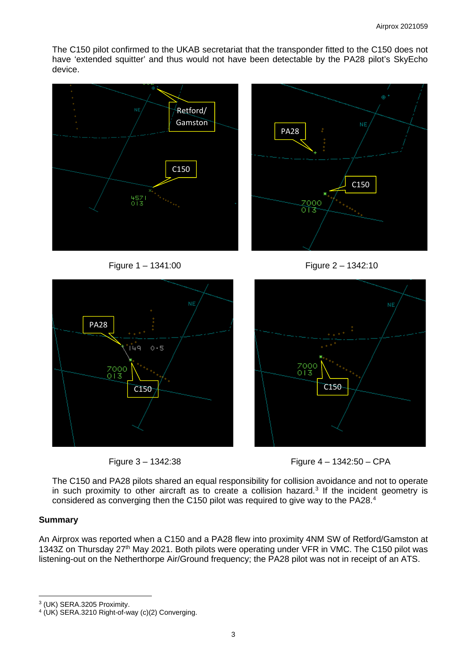The C150 pilot confirmed to the UKAB secretariat that the transponder fitted to the C150 does not have 'extended squitter' and thus would not have been detectable by the PA28 pilot's SkyEcho device.

PA28

2000<br>013





C150









The C150 and PA28 pilots shared an equal responsibility for collision avoidance and not to operate in such proximity to other aircraft as to create a collision hazard.<sup>[3](#page-2-0)</sup> If the incident geometry is considered as converging then the C150 pilot was required to give way to the PA28. [4](#page-2-1)

# **Summary**

An Airprox was reported when a C150 and a PA28 flew into proximity 4NM SW of Retford/Gamston at 1343Z on Thursday 27<sup>th</sup> May 2021. Both pilots were operating under VFR in VMC. The C150 pilot was listening-out on the Netherthorpe Air/Ground frequency; the PA28 pilot was not in receipt of an ATS.

<span id="page-2-0"></span><sup>3</sup> (UK) SERA.3205 Proximity.

<span id="page-2-1"></span><sup>4</sup> (UK) SERA.3210 Right-of-way (c)(2) Converging.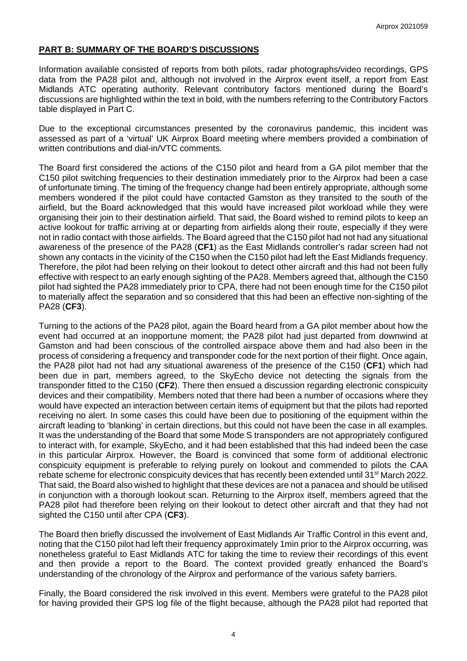# **PART B: SUMMARY OF THE BOARD'S DISCUSSIONS**

Information available consisted of reports from both pilots, radar photographs/video recordings, GPS data from the PA28 pilot and, although not involved in the Airprox event itself, a report from East Midlands ATC operating authority. Relevant contributory factors mentioned during the Board's discussions are highlighted within the text in bold, with the numbers referring to the Contributory Factors table displayed in Part C.

Due to the exceptional circumstances presented by the coronavirus pandemic, this incident was assessed as part of a 'virtual' UK Airprox Board meeting where members provided a combination of written contributions and dial-in/VTC comments.

The Board first considered the actions of the C150 pilot and heard from a GA pilot member that the C150 pilot switching frequencies to their destination immediately prior to the Airprox had been a case of unfortunate timing. The timing of the frequency change had been entirely appropriate, although some members wondered if the pilot could have contacted Gamston as they transited to the south of the airfield, but the Board acknowledged that this would have increased pilot workload while they were organising their join to their destination airfield. That said, the Board wished to remind pilots to keep an active lookout for traffic arriving at or departing from airfields along their route, especially if they were not in radio contact with those airfields. The Board agreed that the C150 pilot had not had any situational awareness of the presence of the PA28 (**CF1**) as the East Midlands controller's radar screen had not shown any contacts in the vicinity of the C150 when the C150 pilot had left the East Midlands frequency. Therefore, the pilot had been relying on their lookout to detect other aircraft and this had not been fully effective with respect to an early enough sighting of the PA28. Members agreed that, although the C150 pilot had sighted the PA28 immediately prior to CPA, there had not been enough time for the C150 pilot to materially affect the separation and so considered that this had been an effective non-sighting of the PA28 (**CF3**).

Turning to the actions of the PA28 pilot, again the Board heard from a GA pilot member about how the event had occurred at an inopportune moment; the PA28 pilot had just departed from downwind at Gamston and had been conscious of the controlled airspace above them and had also been in the process of considering a frequency and transponder code for the next portion of their flight. Once again, the PA28 pilot had not had any situational awareness of the presence of the C150 (**CF1**) which had been due in part, members agreed, to the SkyEcho device not detecting the signals from the transponder fitted to the C150 (**CF2**). There then ensued a discussion regarding electronic conspicuity devices and their compatibility. Members noted that there had been a number of occasions where they would have expected an interaction between certain items of equipment but that the pilots had reported receiving no alert. In some cases this could have been due to positioning of the equipment within the aircraft leading to 'blanking' in certain directions, but this could not have been the case in all examples. It was the understanding of the Board that some Mode S transponders are not appropriately configured to interact with, for example, SkyEcho, and it had been established that this had indeed been the case in this particular Airprox. However, the Board is convinced that some form of additional electronic conspicuity equipment is preferable to relying purely on lookout and commended to pilots the CAA rebate scheme for electronic conspicuity devices that has recently been extended until 31<sup>st</sup> March 2022. That said, the Board also wished to highlight that these devices are not a panacea and should be utilised in conjunction with a thorough lookout scan. Returning to the Airprox itself, members agreed that the PA28 pilot had therefore been relying on their lookout to detect other aircraft and that they had not sighted the C150 until after CPA (**CF3**).

The Board then briefly discussed the involvement of East Midlands Air Traffic Control in this event and, noting that the C150 pilot had left their frequency approximately 1min prior to the Airprox occurring, was nonetheless grateful to East Midlands ATC for taking the time to review their recordings of this event and then provide a report to the Board. The context provided greatly enhanced the Board's understanding of the chronology of the Airprox and performance of the various safety barriers.

Finally, the Board considered the risk involved in this event. Members were grateful to the PA28 pilot for having provided their GPS log file of the flight because, although the PA28 pilot had reported that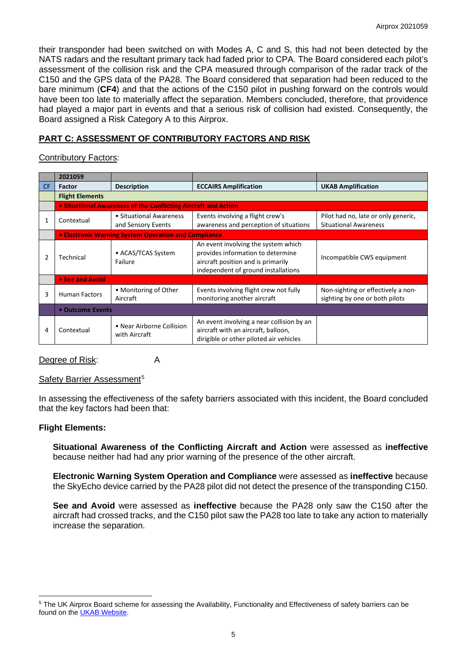their transponder had been switched on with Modes A, C and S, this had not been detected by the NATS radars and the resultant primary tack had faded prior to CPA. The Board considered each pilot's assessment of the collision risk and the CPA measured through comparison of the radar track of the C150 and the GPS data of the PA28. The Board considered that separation had been reduced to the bare minimum (**CF4**) and that the actions of the C150 pilot in pushing forward on the controls would have been too late to materially affect the separation. Members concluded, therefore, that providence had played a major part in events and that a serious risk of collision had existed. Consequently, the Board assigned a Risk Category A to this Airprox.

# **PART C: ASSESSMENT OF CONTRIBUTORY FACTORS AND RISK**

# Contributory Factors:

|     | 2021059                                                        |                                               |                                                                                                                                                       |                                                                      |  |  |  |
|-----|----------------------------------------------------------------|-----------------------------------------------|-------------------------------------------------------------------------------------------------------------------------------------------------------|----------------------------------------------------------------------|--|--|--|
| CF. | <b>Factor</b>                                                  | <b>Description</b>                            | <b>ECCAIRS Amplification</b>                                                                                                                          | <b>UKAB Amplification</b>                                            |  |  |  |
|     | <b>Flight Elements</b>                                         |                                               |                                                                                                                                                       |                                                                      |  |  |  |
|     | • Situational Awareness of the Conflicting Aircraft and Action |                                               |                                                                                                                                                       |                                                                      |  |  |  |
|     | Contextual                                                     | • Situational Awareness<br>and Sensory Events | Events involving a flight crew's<br>awareness and perception of situations                                                                            | Pilot had no, late or only generic,<br><b>Situational Awareness</b>  |  |  |  |
|     | • Electronic Warning System Operation and Compliance           |                                               |                                                                                                                                                       |                                                                      |  |  |  |
|     | Technical                                                      | • ACAS/TCAS System<br>Failure                 | An event involving the system which<br>provides information to determine<br>aircraft position and is primarily<br>independent of ground installations | Incompatible CWS equipment                                           |  |  |  |
|     | • See and Avoid                                                |                                               |                                                                                                                                                       |                                                                      |  |  |  |
| 3   | <b>Human Factors</b>                                           | • Monitoring of Other<br>Aircraft             | Events involving flight crew not fully<br>monitoring another aircraft                                                                                 | Non-sighting or effectively a non-<br>sighting by one or both pilots |  |  |  |
|     | • Outcome Events                                               |                                               |                                                                                                                                                       |                                                                      |  |  |  |
| 4   | Contextual                                                     | • Near Airborne Collision<br>with Aircraft    | An event involving a near collision by an<br>aircraft with an aircraft, balloon,<br>dirigible or other piloted air vehicles                           |                                                                      |  |  |  |

# Degree of Risk: A

# Safety Barrier Assessment<sup>[5](#page-4-0)</sup>

In assessing the effectiveness of the safety barriers associated with this incident, the Board concluded that the key factors had been that:

# **Flight Elements:**

**Situational Awareness of the Conflicting Aircraft and Action** were assessed as **ineffective** because neither had had any prior warning of the presence of the other aircraft.

**Electronic Warning System Operation and Compliance** were assessed as **ineffective** because the SkyEcho device carried by the PA28 pilot did not detect the presence of the transponding C150.

**See and Avoid** were assessed as **ineffective** because the PA28 only saw the C150 after the aircraft had crossed tracks, and the C150 pilot saw the PA28 too late to take any action to materially increase the separation.

<span id="page-4-0"></span><sup>&</sup>lt;sup>5</sup> The UK Airprox Board scheme for assessing the Availability, Functionality and Effectiveness of safety barriers can be found on the [UKAB Website.](http://www.airproxboard.org.uk/Learn-more/Airprox-Barrier-Assessment/)